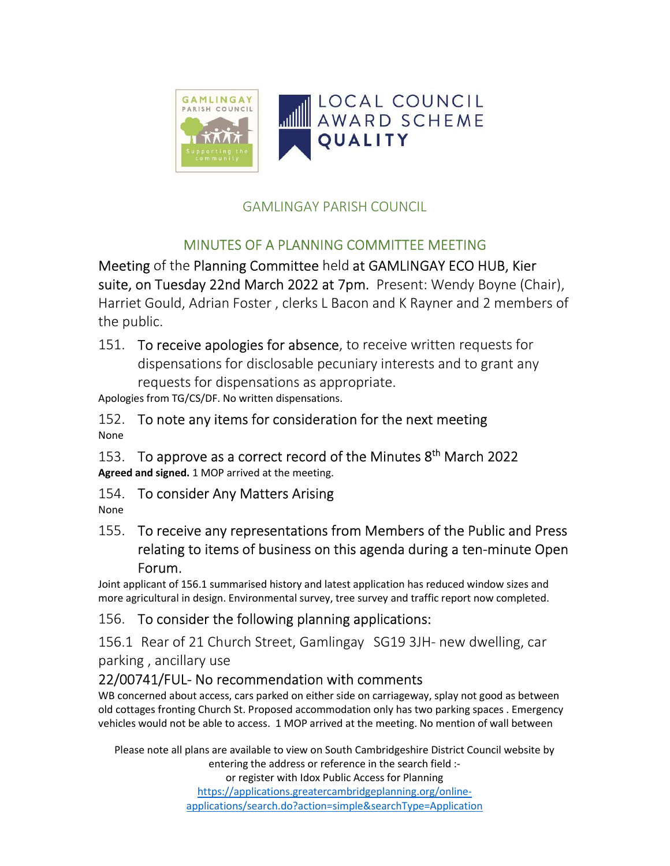

# GAMLINGAY PARISH COUNCIL

# MINUTES OF A PLANNING COMMITTEE MEETING

Meeting of the Planning Committee held at GAMLINGAY ECO HUB, Kier suite, on Tuesday 22nd March 2022 at 7pm. Present: Wendy Boyne (Chair), Harriet Gould, Adrian Foster , clerks L Bacon and K Rayner and 2 members of the public.

151. To receive apologies for absence, to receive written requests for dispensations for disclosable pecuniary interests and to grant any requests for dispensations as appropriate.

Apologies from TG/CS/DF. No written dispensations.

152. To note any items for consideration for the next meeting None

153. To approve as a correct record of the Minutes  $8<sup>th</sup>$  March 2022 Agreed and signed. 1 MOP arrived at the meeting.

154. To consider Any Matters Arising

None

155. To receive any representations from Members of the Public and Press relating to items of business on this agenda during a ten-minute Open Forum.

Joint applicant of 156.1 summarised history and latest application has reduced window sizes and more agricultural in design. Environmental survey, tree survey and traffic report now completed.

## 156. To consider the following planning applications:

156.1 Rear of 21 Church Street, Gamlingay SG19 3JH- new dwelling, car parking , ancillary use

#### 22/00741/FUL- No recommendation with comments

WB concerned about access, cars parked on either side on carriageway, splay not good as between old cottages fronting Church St. Proposed accommodation only has two parking spaces . Emergency vehicles would not be able to access. 1 MOP arrived at the meeting. No mention of wall between

Please note all plans are available to view on South Cambridgeshire District Council website by entering the address or reference in the search field :-

or register with Idox Public Access for Planning https://applications.greatercambridgeplanning.org/onlineapplications/search.do?action=simple&searchType=Application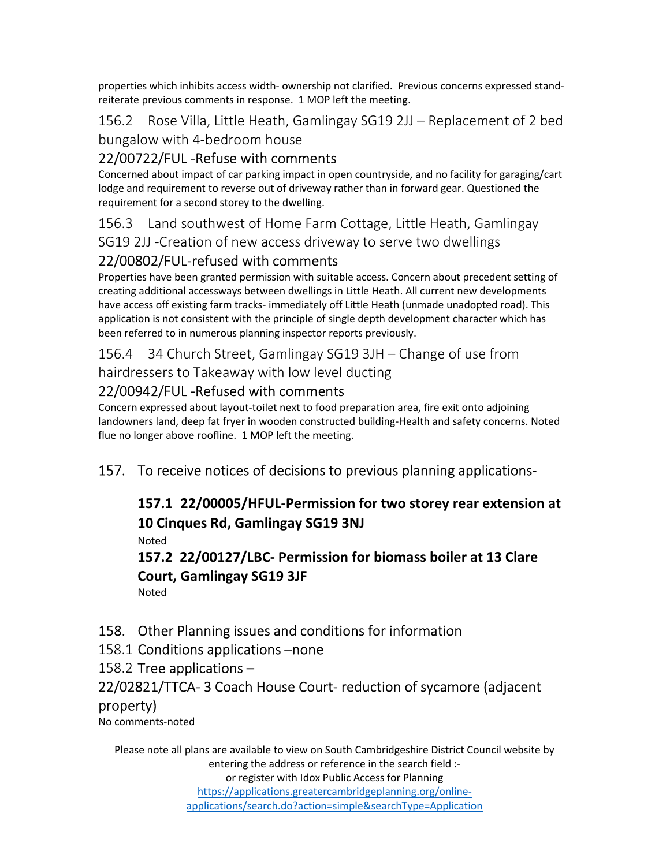properties which inhibits access width- ownership not clarified. Previous concerns expressed standreiterate previous comments in response. 1 MOP left the meeting.

156.2 Rose Villa, Little Heath, Gamlingay SG19 2JJ – Replacement of 2 bed bungalow with 4-bedroom house

# 22/00722/FUL -Refuse with comments

Concerned about impact of car parking impact in open countryside, and no facility for garaging/cart lodge and requirement to reverse out of driveway rather than in forward gear. Questioned the requirement for a second storey to the dwelling.

156.3 Land southwest of Home Farm Cottage, Little Heath, Gamlingay

SG19 2JJ -Creation of new access driveway to serve two dwellings

# 22/00802/FUL-refused with comments

Properties have been granted permission with suitable access. Concern about precedent setting of creating additional accessways between dwellings in Little Heath. All current new developments have access off existing farm tracks- immediately off Little Heath (unmade unadopted road). This application is not consistent with the principle of single depth development character which has been referred to in numerous planning inspector reports previously.

156.4 34 Church Street, Gamlingay SG19 3JH – Change of use from hairdressers to Takeaway with low level ducting

# 22/00942/FUL -Refused with comments

Concern expressed about layout-toilet next to food preparation area, fire exit onto adjoining landowners land, deep fat fryer in wooden constructed building-Health and safety concerns. Noted flue no longer above roofline. 1 MOP left the meeting.

## 157. To receive notices of decisions to previous planning applications-

## 157.1 22/00005/HFUL-Permission for two storey rear extension at 10 Cinques Rd, Gamlingay SG19 3NJ Noted 157.2 22/00127/LBC- Permission for biomass boiler at 13 Clare Court, Gamlingay SG19 3JF Noted

## 158. Other Planning issues and conditions for information

158.1 Conditions applications –none

158.2 Tree applications –

## 22/02821/TTCA- 3 Coach House Court- reduction of sycamore (adjacent

#### property)

No comments-noted

Please note all plans are available to view on South Cambridgeshire District Council website by entering the address or reference in the search field :or register with Idox Public Access for Planning https://applications.greatercambridgeplanning.org/onlineapplications/search.do?action=simple&searchType=Application